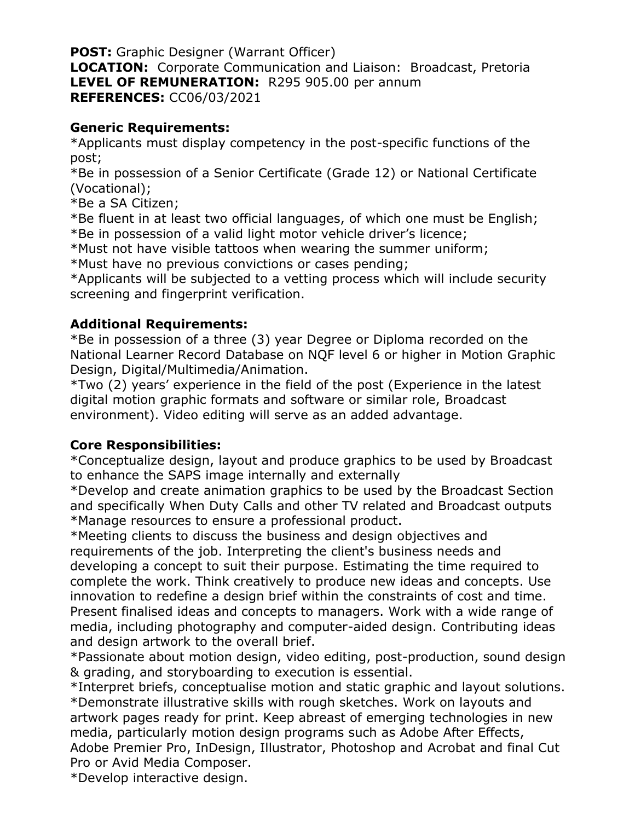**POST:** Graphic Designer (Warrant Officer) **LOCATION:** Corporate Communication and Liaison: Broadcast, Pretoria **LEVEL OF REMUNERATION:** R295 905.00 per annum **REFERENCES:** CC06/03/2021

## **Generic Requirements:**

\*Applicants must display competency in the post-specific functions of the post;

\*Be in possession of a Senior Certificate (Grade 12) or National Certificate (Vocational);

\*Be a SA Citizen;

\*Be fluent in at least two official languages, of which one must be English; \*Be in possession of a valid light motor vehicle driver's licence;

\*Must not have visible tattoos when wearing the summer uniform;

\*Must have no previous convictions or cases pending;

\*Applicants will be subjected to a vetting process which will include security screening and fingerprint verification.

## **Additional Requirements:**

\*Be in possession of a three (3) year Degree or Diploma recorded on the National Learner Record Database on NQF level 6 or higher in Motion Graphic Design, Digital/Multimedia/Animation.

\*Two (2) years' experience in the field of the post (Experience in the latest digital motion graphic formats and software or similar role, Broadcast environment). Video editing will serve as an added advantage.

## **Core Responsibilities:**

\*Conceptualize design, layout and produce graphics to be used by Broadcast to enhance the SAPS image internally and externally

\*Develop and create animation graphics to be used by the Broadcast Section and specifically When Duty Calls and other TV related and Broadcast outputs \*Manage resources to ensure a professional product.

\*Meeting clients to discuss the business and design objectives and requirements of the job. Interpreting the client's business needs and developing a concept to suit their purpose. Estimating the time required to complete the work. Think creatively to produce new ideas and concepts. Use innovation to redefine a design brief within the constraints of cost and time. Present finalised ideas and concepts to managers. Work with a wide range of media, including photography and computer-aided design. Contributing ideas and design artwork to the overall brief.

\*Passionate about motion design, video editing, post-production, sound design & grading, and storyboarding to execution is essential.

\*Interpret briefs, conceptualise motion and static graphic and layout solutions. \*Demonstrate illustrative skills with rough sketches. Work on layouts and artwork pages ready for print. Keep abreast of emerging technologies in new media, particularly motion design programs such as Adobe After Effects, Adobe Premier Pro, InDesign, Illustrator, Photoshop and Acrobat and final Cut Pro or Avid Media Composer.

\*Develop interactive design.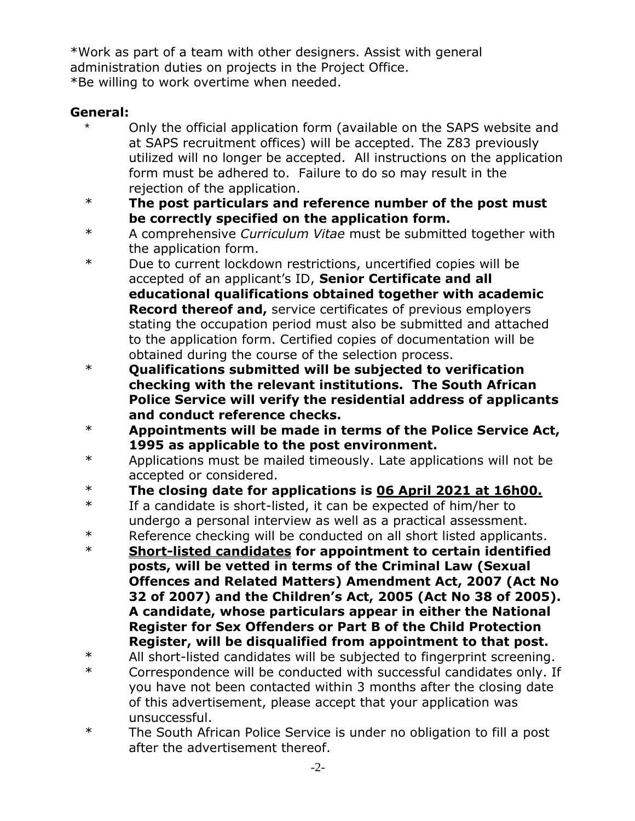\*Work as part of a team with other designers. Assist with general administration duties on projects in the Project Office. \*Be willing to work overtime when needed.

## **General:**

- Only the official application form (available on the SAPS website and at SAPS recruitment offices) will be accepted. The Z83 previously utilized will no longer be accepted. All instructions on the application form must be adhered to. Failure to do so may result in the rejection of the application.
- \* **The post particulars and reference number of the post must be correctly specified on the application form.**
- \* A comprehensive *Curriculum Vitae* must be submitted together with the application form.
- \* Due to current lockdown restrictions, uncertified copies will be accepted of an applicant's ID, **Senior Certificate and all educational qualifications obtained together with academic Record thereof and,** service certificates of previous employers stating the occupation period must also be submitted and attached to the application form. Certified copies of documentation will be obtained during the course of the selection process.
- \* **Qualifications submitted will be subjected to verification checking with the relevant institutions. The South African Police Service will verify the residential address of applicants and conduct reference checks.**
- \* **Appointments will be made in terms of the Police Service Act, 1995 as applicable to the post environment.**
- \* Applications must be mailed timeously. Late applications will not be accepted or considered.
- \* **The closing date for applications is 06 April 2021 at 16h00.**
- \* If a candidate is short-listed, it can be expected of him/her to undergo a personal interview as well as a practical assessment.
- \* Reference checking will be conducted on all short listed applicants.
- \* **Short-listed candidates for appointment to certain identified posts, will be vetted in terms of the Criminal Law (Sexual Offences and Related Matters) Amendment Act, 2007 (Act No 32 of 2007) and the Children's Act, 2005 (Act No 38 of 2005). A candidate, whose particulars appear in either the National Register for Sex Offenders or Part B of the Child Protection Register, will be disqualified from appointment to that post.**
- \* All short-listed candidates will be subjected to fingerprint screening.
- \* Correspondence will be conducted with successful candidates only. If you have not been contacted within 3 months after the closing date of this advertisement, please accept that your application was unsuccessful.
- \* The South African Police Service is under no obligation to fill a post after the advertisement thereof.